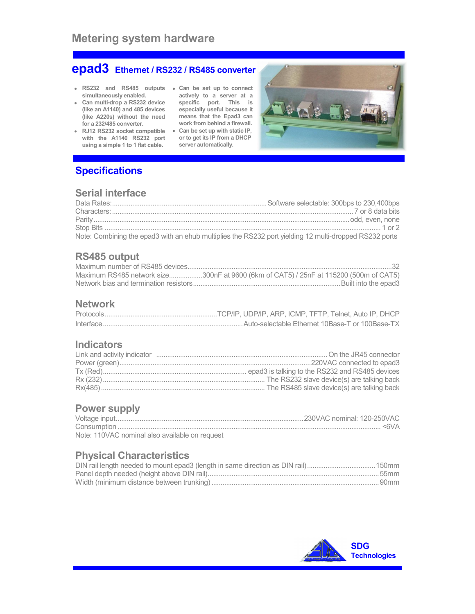# epad3 Ethernet / RS232 / RS485 converter

- RS232 and RS485 outputs Can be set up to connect
- simultaneously enabled. Can multi-drop a RS232 device (like an A1140) and 485 devices (like A220s) without the need
- for a 232/485 converter. RJ12 RS232 socket compatible with the A1140 RS232 port using a simple 1 to 1 flat cable.
- actively to a server at a specific port. This is especially useful because it means that the Epad3 can work from behind a firewall. • Can be set up with static IP,
- or to get its IP from a DHCP server automatically.



# **Specifications**

## Serial interface

| Note: Combining the epad3 with an ehub multiplies the RS232 port yielding 12 multi-dropped RS232 ports |  |
|--------------------------------------------------------------------------------------------------------|--|

## RS485 output

| Maximum RS485 network size300nF at 9600 (6km of CAT5) / 25nF at 115200 (500m of CAT5) |
|---------------------------------------------------------------------------------------|
|                                                                                       |

### Network

#### **Indicators**

# Power supply

| Note: 110VAC nominal also available on request |  |
|------------------------------------------------|--|

# Physical Characteristics